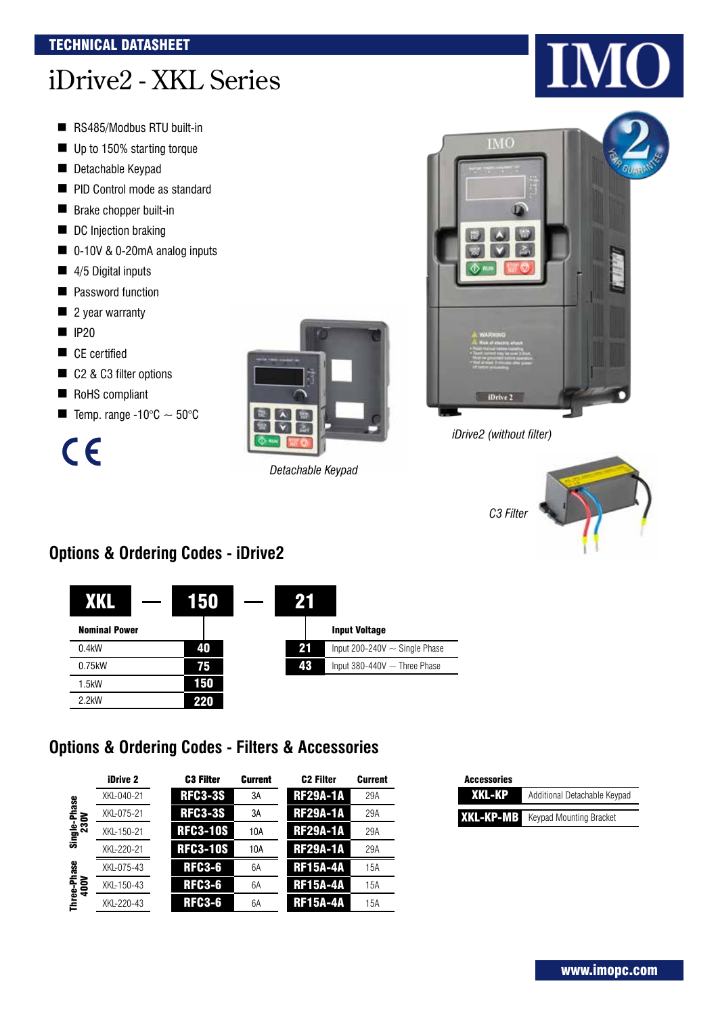# iDrive2 - XKL Series

- RS485/Modbus RTU built-in
- Up to 150% starting torque
- **Detachable Keypad**
- PID Control mode as standard
- **Brake chopper built-in**
- DC Injection braking
- 0-10V & 0-20mA analog inputs
- 4/5 Digital inputs
- **E** Password function
- 2 year warranty
- $\blacksquare$  IP20
- CE certified
- C2 & C3 filter options
- RoHS compliant
- **Temp. range -10°C**  $\sim$  50°C

 $c\epsilon$ 



*Detachable Keypad*



*iDrive2 (without filter)*



# **Options & Ordering Codes - iDrive2**

|                      | 150 |    |                                    |
|----------------------|-----|----|------------------------------------|
| <b>Nominal Power</b> |     |    | <b>Input Voltage</b>               |
| 0.4kW                | 40  | 21 | Input 200-240V $\sim$ Single Phase |
| 0.75kW               | 75  | 43 | Input 380-440V $\sim$ Three Phase  |
| $1.5$ kW             | 150 |    |                                    |
| $2.2$ kW             | 220 |    |                                    |

## **Options & Ordering Codes - Filters & Accessories**

|                     | iDrive 2   | <b>C3 Filter</b> | <b>Current</b> | <b>C<sub>2</sub></b> Filter | <b>Current</b> |
|---------------------|------------|------------------|----------------|-----------------------------|----------------|
|                     | XKL-040-21 | <b>RFC3-3S</b>   | 3A             | <b>RF29A-1A</b>             | 29A            |
| hase                | XKL-075-21 | <b>RFC3-3S</b>   | 3A             | <b>RF29A-1A</b>             | 29A            |
| Single-Ph<br>230V   | XKL-150-21 | <b>RFC3-10S</b>  | 10A            | <b>RF29A-1A</b>             | 29A            |
|                     | XKL-220-21 | <b>RFC3-10S</b>  | 10A            | <b>RF29A-1A</b>             | 29A            |
|                     | XKL-075-43 | <b>RFC3-6</b>    | 6A             | <b>RF15A-4A</b>             | 15A            |
|                     | XKL-150-43 | <b>RFC3-6</b>    | 6A             | <b>RF15A-4A</b>             | 15A            |
| Three-Phase<br>400V | XKL-220-43 | <b>RFC3-6</b>    | 6A             | <b>RF15A-4A</b>             | 15A            |

| <b>Accessories</b> |                                |
|--------------------|--------------------------------|
| XKL-KP             | Additional Detachable Keypad   |
| XKL-KP-MB          | <b>Keypad Mounting Bracket</b> |

# $\blacksquare$